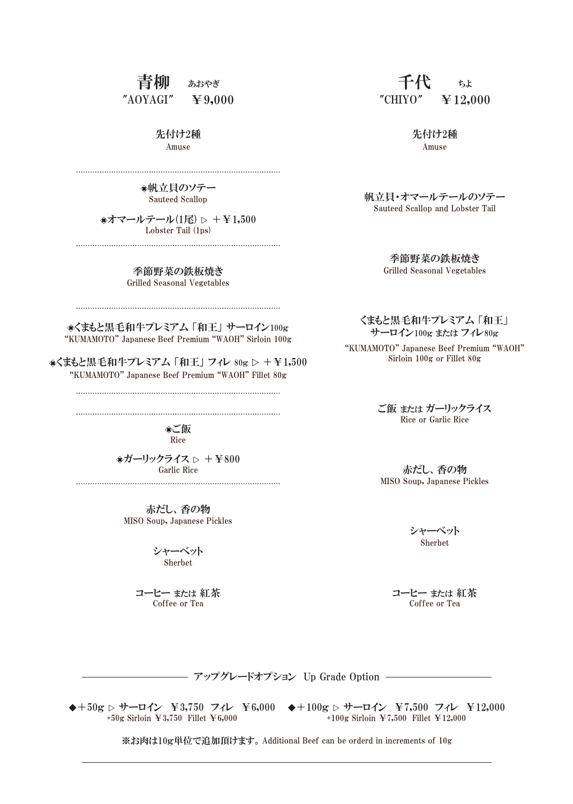## 青柳 あおやぎ  $"AOYAGI" \quad \textcolor{red}{\blacktriangleright} 9,000$

Amuse 先付け2種

帆立貝のソテー Sauteed Scallop

●オマールテール(1尾) ▷ +¥1,500 Lobster Tail (1ps) 

> 季節野菜の鉄板焼き Grilled Seasonal Vegetables

"KUMAMOTO" Japanese Beef Premium "WAOH" Sirloin 100g **◈くまもと黒毛和牛プレミアム 「和王」 サーロイン100g** 

くまもと黒毛和牛プレミアム 「和王」 フィレ 80g ▷ +¥1,500 "KUMAMOTO" Japanese Beef Premium "WAOH" Fillet 80g

Rice ご飯

 $\Rightarrow$ ガーリックライス  $\triangleright$  +¥800 Garlic Rice 

> MISO Soup, Japanese Pickles 赤だし、香の物

> > シャーベット Sherbet

コーヒー または 紅茶 Coffee or Tea

千代 ちょ "CHIYO"  $\cong$  12,000

> Amuse 先付け2種

帆立貝・オマールテールのソテー Sauteed Scallop and Lobster Tail

> 季節野菜の鉄板焼き Grilled Seasonal Vegetables

くまもと黒毛和牛プレミアム 「和王」 サーロイン100g または フィレ80g

"KUMAMOTO" Japanese Beef Premium "WAOH" Sirloin 100g or Fillet 80g

> Rice or Garlic Rice ご飯 または ガーリックライス

MISO Soup, Japanese Pickles 赤だし、香の物

> シャーベット Sherbet

コーヒー または 紅茶 Coffee or Tea

アップグレードオプション Up Grade Option

◆+50g ▷ サーロイン ¥3,750 フィレ ¥6,000 ◆+100g ▷ サーロイン ¥7,500 フィレ ¥12,000 +50g Sirloin ¥3,750 Fillet ¥6,000

+100g Sirloin ¥7,500 Fillet ¥12,000

※お肉は10g単位で追加頂けます。Additional Beef can be orderd in increments of 10g